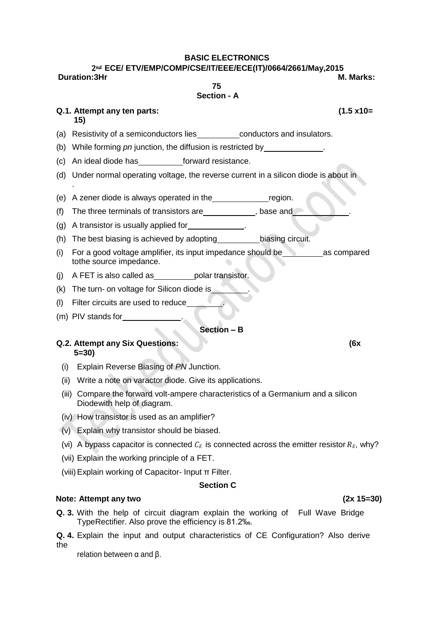### **BASIC ELECTRONICS**

#### 2 **ECE/ ETV/EMP/COMP/CSE/IT/EEE/ECE(IT)/0664/2661/May,2015 Duration:3Hr M. Marks:**

**75 Section - A**

# **Q.1. Attempt any ten parts: (1.5 x10=**

- **15)**
- (a) Resistivity of a semiconductors lies conductors and insulators.
- (b) While forming *pn* junction, the diffusion is restricted by
- (c) An ideal diode has forward resistance.
- (d) Under normal operating voltage, the reverse current in a silicon diode is about in .

(e) A zener diode is always operated in the region.

- (f) The three terminals of transistors are quality and the same state of the three terminals of transistors are
- (g) A transistor is usually applied for **the same in the set of the set of the set of the set of the set of the set of the set of the set of the set of the set of the set of the set of the set of the set of the set of the**
- (h) The best biasing is achieved by adopting  $\qquad \qquad$  biasing circuit.
- (i) For a good voltage amplifier, its input impedance should be  $\Box$  as compared tothe source impedance.
- (j)  $A$  FET is also called as polar transistor.
- (k) The turn- on voltage for Silicon diode is .
- (l) Filter circuits are used to reduce .
- (m) PIV stands for .

### **Section – B**

#### **Q.2. Attempt any Six Questions: (6x 5=30)**

- (i) Explain Reverse Biasing of *PN* Junction.
- (ii) Write a note on varactor diode. Give its applications.
- (iii) Compare the forward volt-ampere characteristics of a Germanium and a silicon Diodewith help of diagram.
- (iv) How transistor is used as an amplifier?
- (v) Explain why transistor should be biased.
- (vi) A bypass capacitor is connected  $C_E$  is connected across the emitter resistor  $R_E$ , why?
- (vii) Explain the working principle of a FET.
- (viii)Explain working of Capacitor- Input π Filter.

# **Section C**

# **Note: Attempt any two (2x 15=30)**

- **Q. 3.** With the help of circuit diagram explain the working of Full Wave Bridge TypeRectifier. Also prove the efficiency is 81.2‰.
- **Q. 4.** Explain the input and output characteristics of CE Configuration? Also derive the

relation between  $α$  and  $β$ .